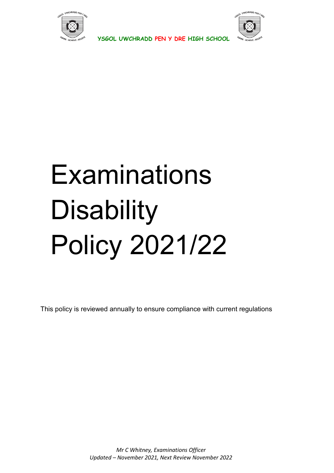



# **Examinations Disability** Policy 2021/22

This policy is reviewed annually to ensure compliance with current regulations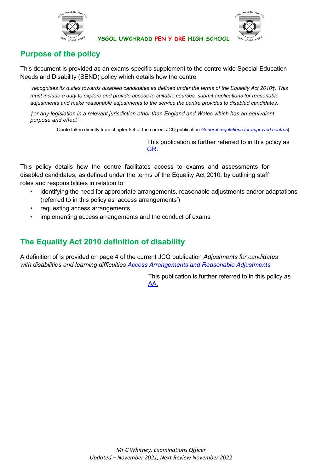



# **Purpose of the policy**

This document is provided as an exams-specific supplement to the centre wide Special Education Needs and Disability (SEND) policy which details how the centre

*"recognises its duties towards disabled candidates as defined under the terms of the Equality Act 2010*†*. This must include a duty to explore and provide access to suitable courses, submit applications for reasonable adjustments and make reasonable adjustments to the service the centre provides to disabled candidates.*

*†or any legislation in a relevant jurisdiction other than England and Wales which has an equivalent purpose and effect"*

[Quote taken directly from chapter 5.4 of the current JCQ publication *[General regulations for approved centres](http://www.jcq.org.uk/exams-office/general-regulations)*]

This publication is further referred to in this policy as [GR.](http://www.jcq.org.uk/exams-office/general-regulations)

This policy details how the centre facilitates access to exams and assessments for disabled candidates, as defined under the terms of the Equality Act 2010, by outlining staff roles and responsibilities in relation to

- identifying the need for appropriate arrangements, reasonable adjustments and/or adaptations (referred to in this policy as 'access arrangements')
- requesting access arrangements
- implementing access arrangements and the conduct of exams

# **The Equality Act 2010 definition of disability**

A definition of is provided on page 4 of the current JCQ publication *Adjustments for candidates with disabilities and learning difficulties [Access Arrangements and Reasonable Adjustments](http://www.jcq.org.uk/exams-office/access-arrangements-and-special-consideration/regulations-and-guidance)*

> This publication is further referred to in this policy as [AA.](http://www.jcq.org.uk/exams-office/access-arrangements-and-special-consideration/regulations-and-guidance)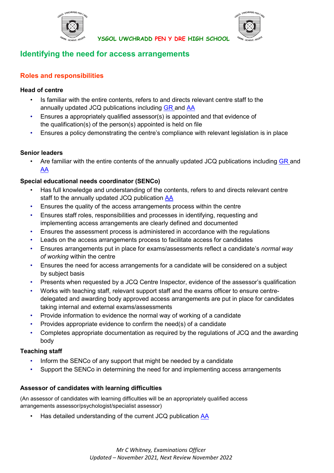



# **Identifying the need for access arrangements**

# **Roles and responsibilities**

## **Head of centre**

- Is familiar with the entire contents, refers to and directs relevant centre staff to the annually updated JCQ publications including [GR](http://www.jcq.org.uk/exams-office/general-regulations) and [AA](http://www.jcq.org.uk/exams-office/access-arrangements-and-special-consideration/regulations-and-guidance)
- Ensures a appropriately qualified assessor(s) is appointed and that evidence of the qualification(s) of the person(s) appointed is held on file
- Ensures a policy demonstrating the centre's compliance with relevant legislation is in place

## **Senior leaders**

Are familiar with the entire contents of the annually updated JCQ publications including [GR](http://www.jcq.org.uk/exams-office/general-regulations) and [AA](http://www.jcq.org.uk/exams-office/access-arrangements-and-special-consideration/regulations-and-guidance)

# **Special educational needs coordinator (SENCo)**

- Has full knowledge and understanding of the contents, refers to and directs relevant centre staff to the annually updated JCQ publication [AA](http://www.jcq.org.uk/exams-office/access-arrangements-and-special-consideration/regulations-and-guidance)
- Ensures the quality of the access arrangements process within the centre
- Ensures staff roles, responsibilities and processes in identifying, requesting and implementing access arrangements are clearly defined and documented
- Ensures the assessment process is administered in accordance with the regulations
- Leads on the access arrangements process to facilitate access for candidates
- Ensures arrangements put in place for exams/assessments reflect a candidate's *normal way of working* within the centre
- Ensures the need for access arrangements for a candidate will be considered on a subject by subject basis
- Presents when requested by a JCQ Centre Inspector, evidence of the assessor's qualification
- Works with teaching staff, relevant support staff and the exams officer to ensure centredelegated and awarding body approved access arrangements are put in place for candidates taking internal and external exams/assessments
- Provide information to evidence the normal way of working of a candidate
- Provides appropriate evidence to confirm the need(s) of a candidate
- Completes appropriate documentation as required by the regulations of JCQ and the awarding body

## **Teaching staff**

- Inform the SENCo of any support that might be needed by a candidate
- Support the SENCo in determining the need for and implementing access arrangements

## **Assessor of candidates with learning difficulties**

(An assessor of candidates with learning difficulties will be an appropriately qualified access arrangements assessor/psychologist/specialist assessor)

• Has detailed understanding of the current JCQ publication [AA](http://www.jcq.org.uk/exams-office/access-arrangements-and-special-consideration/regulations-and-guidance)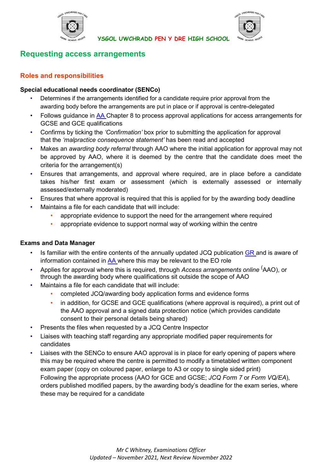



# **Requesting access arrangements**

# **Roles and responsibilities**

## **Special educational needs coordinator (SENCo)**

- Determines if the arrangements identified for a candidate require prior approval from the awarding body before the arrangements are put in place or if approval is centre-delegated
- Follows quidance in [AA](http://www.jcq.org.uk/exams-office/access-arrangements-and-special-consideration) Chapter 8 to process approval applications for access arrangements for GCSE and GCE qualifications
- Confirms by ticking the *'Confirmation'* box prior to submitting the application for approval that the *'malpractice consequence statement'* has been read and accepted
- Makes an *awarding body referral* through AAO where the initial application for approval may not be approved by AAO, where it is deemed by the centre that the candidate does meet the criteria for the arrangement(s)
- Ensures that arrangements, and approval where required, are in place before a candidate takes his/her first exam or assessment (which is externally assessed or internally assessed/externally moderated)
- Ensures that where approval is required that this is applied for by the awarding body deadline
- Maintains a file for each candidate that will include:
	- appropriate evidence to support the need for the arrangement where required
	- appropriate evidence to support normal way of working within the centre

## **Exams and Data Manager**

- Is familiar with the entire contents of the annually updated JCQ publication  $GR$  and is aware of information contained in  $AA$  where this may be relevant to the EO role
- Applies for approval where this is required, through *Access arrangements online* ( AAO), or through the awarding body where qualifications sit outside the scope of AAO
- Maintains a file for each candidate that will include:
	- completed JCQ/awarding body application forms and evidence forms
	- in addition, for GCSE and GCE qualifications (where approval is required), a print out of the AAO approval and a signed data protection notice (which provides candidate consent to their personal details being shared)
- Presents the files when requested by a JCQ Centre Inspector
- Liaises with teaching staff regarding any appropriate modified paper requirements for candidates
- Liaises with the SENCo to ensure AAO approval is in place for early opening of papers where this may be required where the centre is permitted to modify a timetabled written component exam paper (copy on coloured paper, enlarge to A3 or copy to single sided print) Following the appropriate process (AAO for GCE and GCSE; *JCQ Form 7* or *Form VQ/EA*), orders published modified papers, by the awarding body's deadline for the exam series, where these may be required for a candidate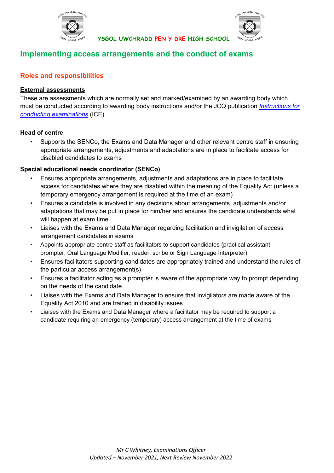

# **Implementing access arrangements and the conduct of exams**

# **Roles and responsibilities**

## **External assessments**

These are assessments which are normally set and marked/examined by an awarding body which must be conducted according to awarding body instructions and/or the JCQ publication *[Instructions for](http://www.jcq.org.uk/exams-office/ice---instructions-for-conducting-examinations) [conducting examinations](http://www.jcq.org.uk/exams-office/ice---instructions-for-conducting-examinations)* (ICE).

**YSGOL UWCHRADD PEN Y DRE HIGH SCHOOL** 

## **Head of centre**

• Supports the SENCo, the Exams and Data Manager and other relevant centre staff in ensuring appropriate arrangements, adjustments and adaptations are in place to facilitate access for disabled candidates to exams

## **Special educational needs coordinator (SENCo)**

- Ensures appropriate arrangements, adjustments and adaptations are in place to facilitate access for candidates where they are disabled within the meaning of the Equality Act (unless a temporary emergency arrangement is required at the time of an exam)
- Ensures a candidate is involved in any decisions about arrangements, adjustments and/or adaptations that may be put in place for him/her and ensures the candidate understands what will happen at exam time
- Liaises with the Exams and Data Manager regarding facilitation and invigilation of access arrangement candidates in exams
- Appoints appropriate centre staff as facilitators to support candidates (practical assistant, prompter, Oral Language Modifier, reader, scribe or Sign Language Interpreter)
- Ensures facilitators supporting candidates are appropriately trained and understand the rules of the particular access arrangement(s)
- Ensures a facilitator acting as a prompter is aware of the appropriate way to prompt depending on the needs of the candidate
- Liaises with the Exams and Data Manager to ensure that invigilators are made aware of the Equality Act 2010 and are trained in disability issues
- Liaises with the Exams and Data Manager where a facilitator may be required to support a candidate requiring an emergency (temporary) access arrangement at the time of exams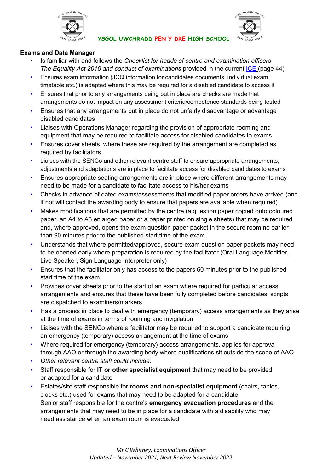



## **Exams and Data Manager**

- Is familiar with and follows the *Checklist for heads of centre and examination officers – The Equality Act 2010 and conduct of examinations provided in the current [ICE](http://www.jcq.org.uk/exams-office/ice---instructions-for-conducting-examinations) (page 44)*
- Ensures exam information (JCQ information for candidates documents, individual exam timetable etc.) is adapted where this may be required for a disabled candidate to access it
- Ensures that prior to any arrangements being put in place are checks are made that arrangements do not impact on any assessment criteria/competence standards being tested
- Ensures that any arrangements put in place do not unfairly disadvantage or advantage disabled candidates
- Liaises with Operations Manager regarding the provision of appropriate rooming and equipment that may be required to facilitate access for disabled candidates to exams
- Ensures cover sheets, where these are required by the arrangement are completed as required by facilitators
- Liaises with the SENCo and other relevant centre staff to ensure appropriate arrangements, adjustments and adaptations are in place to facilitate access for disabled candidates to exams
- Ensures appropriate seating arrangements are in place where different arrangements may need to be made for a candidate to facilitate access to his/her exams
- Checks in advance of dated exams/assessments that modified paper orders have arrived (and if not will contact the awarding body to ensure that papers are available when required)
- Makes modifications that are permitted by the centre (a question paper copied onto coloured paper, an A4 to A3 enlarged paper or a paper printed on single sheets) that may be required and, where approved, opens the exam question paper packet in the secure room no earlier than 90 minutes prior to the published start time of the exam
- Understands that where permitted/approved, secure exam question paper packets may need to be opened early where preparation is required by the facilitator (Oral Language Modifier, Live Speaker, Sign Language Interpreter only)
- Ensures that the facilitator only has access to the papers 60 minutes prior to the published start time of the exam
- Provides cover sheets prior to the start of an exam where required for particular access arrangements and ensures that these have been fully completed before candidates' scripts are dispatched to examiners/markers
- Has a process in place to deal with emergency (temporary) access arrangements as they arise at the time of exams in terms of rooming and invigilation
- Liaises with the SENCo where a facilitator may be required to support a candidate requiring an emergency (temporary) access arrangement at the time of exams
- Where required for emergency (temporary) access arrangements, applies for approval through AAO or through the awarding body where qualifications sit outside the scope of AAO
- *Other relevant centre staff could include:*
- Staff responsible for **IT or other specialist equipment** that may need to be provided or adapted for a candidate
- Estates/site staff responsible for **rooms and non-specialist equipment** (chairs, tables, clocks etc.) used for exams that may need to be adapted for a candidate Senior staff responsible for the centre's **emergency evacuation procedures** and the arrangements that may need to be in place for a candidate with a disability who may need assistance when an exam room is evacuated